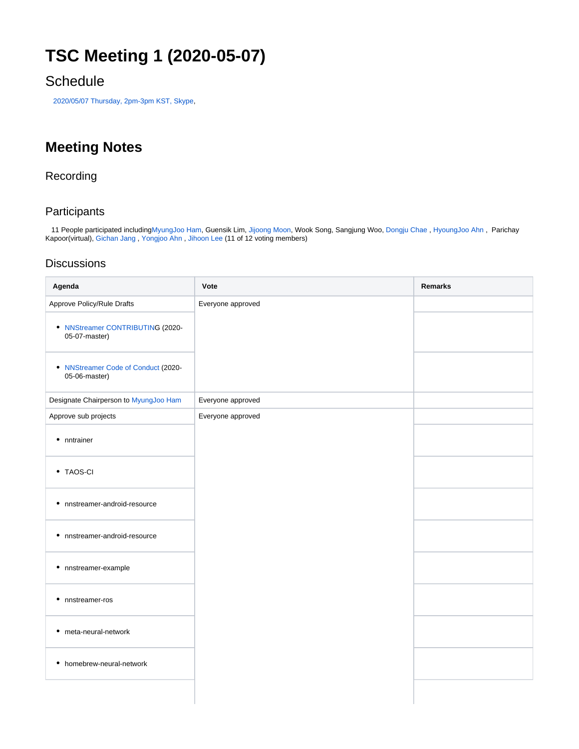# **TSC Meeting 1 (2020-05-07)**

### **Schedule**

[2020/05/07 Thursday, 2pm-3pm KST, Skype,](https://lists.lfai.foundation/g/nnstreamer-announce/viewevent?eventid=789941&calstart=2020-05-07)

## **Meeting Notes**

#### Recording

#### **Participants**

 11 People participated including[MyungJoo Ham](https://wiki.lfaidata.foundation/display/~mzx), Guensik Lim, [Jijoong Moon,](https://wiki.lfaidata.foundation/display/~jijoongmoon) Wook Song, Sangjung Woo, [Dongju Chae](https://wiki.lfaidata.foundation/display/~dongju.chae) , [HyoungJoo Ahn](https://wiki.lfaidata.foundation/display/~helloahn) , Parichay Kapoor(virtual), [Gichan Jang](https://wiki.lfaidata.foundation/display/~gichan) , [Yongjoo Ahn](https://wiki.lfaidata.foundation/display/~yongjoo.ahn) , [Jihoon Lee](https://wiki.lfaidata.foundation/display/~zhoonit) (11 of 12 voting members)

#### **Discussions**

| Agenda                                               | Vote              | Remarks |
|------------------------------------------------------|-------------------|---------|
| Approve Policy/Rule Drafts                           | Everyone approved |         |
| • NNStreamer CONTRIBUTING (2020-<br>05-07-master)    |                   |         |
| • NNStreamer Code of Conduct (2020-<br>05-06-master) |                   |         |
| Designate Chairperson to MyungJoo Ham                | Everyone approved |         |
| Approve sub projects                                 | Everyone approved |         |
| • nntrainer                                          |                   |         |
| • TAOS-CI                                            |                   |         |
| • nnstreamer-android-resource                        |                   |         |
| • nnstreamer-android-resource                        |                   |         |
| · nnstreamer-example                                 |                   |         |
| • nnstreamer-ros                                     |                   |         |
| • meta-neural-network                                |                   |         |
| • homebrew-neural-network                            |                   |         |
|                                                      |                   |         |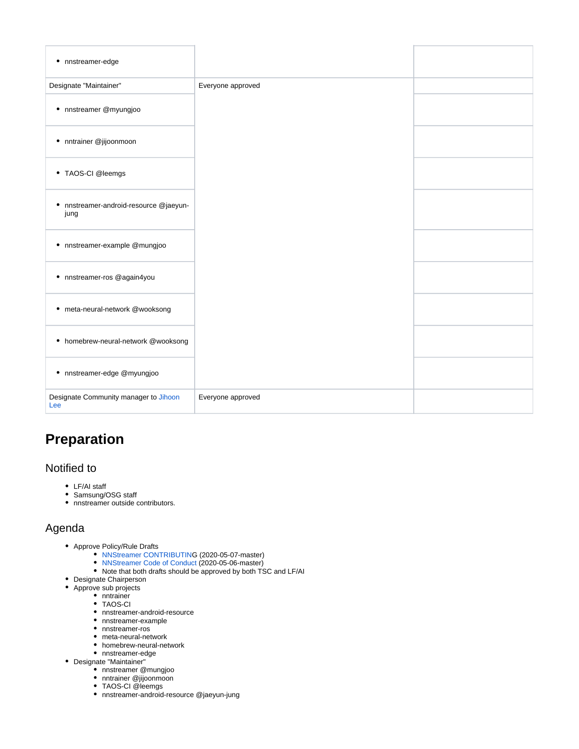| • nnstreamer-edge                                 |                   |  |
|---------------------------------------------------|-------------------|--|
| Designate "Maintainer"                            | Everyone approved |  |
| · nnstreamer @myungjoo                            |                   |  |
| • nntrainer @jijoonmoon                           |                   |  |
| • TAOS-CI @leemgs                                 |                   |  |
| nnstreamer-android-resource @jaeyun-<br>٠<br>jung |                   |  |
| · nnstreamer-example @mungjoo                     |                   |  |
| · nnstreamer-ros @again4you                       |                   |  |
| • meta-neural-network @wooksong                   |                   |  |
| • homebrew-neural-network @wooksong               |                   |  |
| · nnstreamer-edge @myungjoo                       |                   |  |
| Designate Community manager to Jihoon<br>Lee      | Everyone approved |  |

## **Preparation**

#### Notified to

- LF/AI staff
- Samsung/OSG staff
- nnstreamer outside contributors.

#### Agenda

- Approve Policy/Rule Drafts
	- [NNStreamer CONTRIBUTIN](https://github.com/nnstreamer/nnstreamer/blob/71584e3dda382b349d4c1f01819de4b77bb71485/CONTRIBUTING.md)G (2020-05-07-master)
	- [NNStreamer Code of Conduct](https://github.com/nnstreamer/nnstreamer/blob/71584e3dda382b349d4c1f01819de4b77bb71485/CODE_OF_CONDUCT.md) (2020-05-06-master)
	- Note that both drafts should be approved by both TSC and LF/AI
- Designate Chairperson
	- Approve sub projects
		- nntrainer
		- TAOS-CI nnstreamer-android-resource
		- nnstreamer-example
		- nnstreamer-ros
		- meta-neural-network
		- homebrew-neural-network
		- nnstreamer-edge
- Designate "Maintainer"
	- nnstreamer @mungjoo
	- nntrainer @jijoonmoon
	- TAOS-CI @leemgs
	- nnstreamer-android-resource @jaeyun-jung